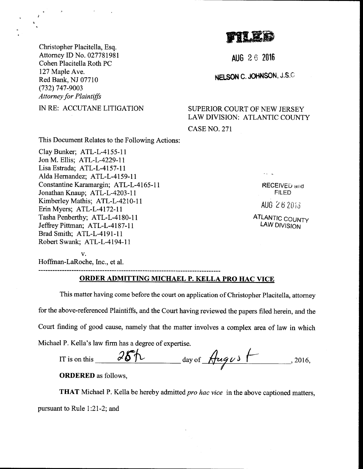ffiffiffi

Christopher Placitella, Esq. Attorney ID No. 027781981 Cohen Placitella Roth PC 127 Maple Ave. Red Bank, NJ 07710 (732) 747-9003 **Attorney for Plaintiffs** 

IN RE: ACCUTANE LITIGATION

This Document Relates to the Following Actions:

Clay Bunker; ATL-L-4155-ll Jon M. Ellis; ATL-L-4229-ll Lisa Estrada; ATL-L-4157-ll Alda Hernandez; ATL-L-4159-11 Constantine Karamargin; ATL-L-4165-11 Jonathan Knaup; ATL-L-4203-11 Kimberley Mathis; ATL-L-4210-ll Erin Myers; ATL-L-4172-ll Tasha Penberthy; ATL-L-4l80-l I Jeffrey Pittman; ATL-L-4187-11 Brad Smith; ATL-L-4191-1 <sup>1</sup> Robert Swank; ATL-L-4194-11

v. Hoffrnan-LaRoche, Inc., et al.

## ORDER ADMITTING MICHAEL P. KELLA PRO HAC YICE

This matter having come before the court on application of Christopher Placitella, attorney for the above-referenced Plaintiffs, and the Court having reviewed the papers filed herein, and the Court finding of good cause, namely that the matter involves a complex area of law in which Michael P. Kella's law firm has a degree of expertise.

| IT is on this | day of Hugys | 2016, |
|---------------|--------------|-------|
|               |              |       |

ORDERED as follows,

**THAT** Michael P. Kella be hereby admitted pro hac vice in the above captioned matters, pursuant to Rule l:21-2; and

RECEIVED and FILED  $AUG 262013$ 

ATLANTIC COUNTY LAW DIVISION

AUG 26 2016

NELSON C. JOHNSON, J.S.C.

SUPERIOR COURT OF NEW JERSEY LAW DIVISION: ATLANTIC COUNTY

CASE NO. 271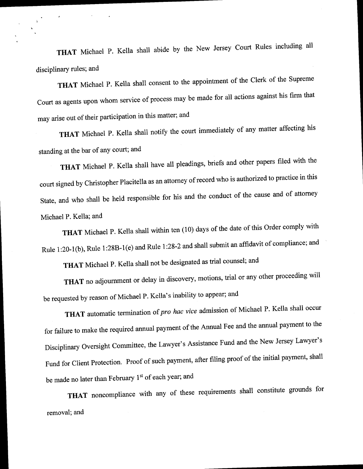THAT Michael p. Kella shall abide by the New Jersey court Rules including all disciplinary rules; and

THAT Michael P. Kella shall consent to the appointment of the Clerk of the Supreme court as agents upon whom service of process may be made for alr actions against his firm that may arise out of their participation in this matter; and

THAT Michael P. Kella shall notify the court immediately of any matter affecting his standing at the bar of any court; and

THAT Michael P. Kella shall have all pleadings, briefs and other papers filed with the court signed by Christopher Placitella as an attorney of record who is authorized to practice in this State, and who shall be held responsible for his and the conduct of the cause and of attomey Michael P. Kella; and

THAT Michael P. Kella shall within ten (10) days of the date of this Order comply with Rule 1:20-1(b), Rule 1:28B-1(e) and Rule 1:28-2 and shall submit an affidavit of compliance; and

THAT Michael P. Kella shall not be designated as trial counsel; and

THAT no adjournment or delay in discovery, motions, trial or any other proceeding will be requested by reason of Michael P. Kella's inability to appear; and

THAT automatic termination of pro hac vice admission of Michael P. Kella shall occur for failure to make the required annual payment of the Annual Fee and the annual payment to the Disciplinary Oversight Committee, the Lawyer's Assistance Fund and the New Jersey Lawyer's Fund for Client Protection. Proof of such payment, after filing proof of the initial payment, shall be made no later than February 1st of each year; and

THAT noncompliance with any of these requirements shall constitute grounds for removal; and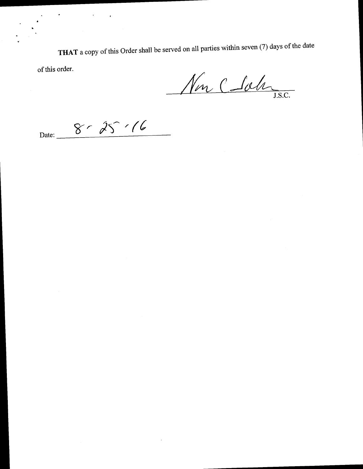THAT a copy of this Order shall be served on all parties within seven (7) days of the date

of this order.

Non C Sola

 $8 - 25 - 16$ Date:  $\overline{\phantom{a}}$